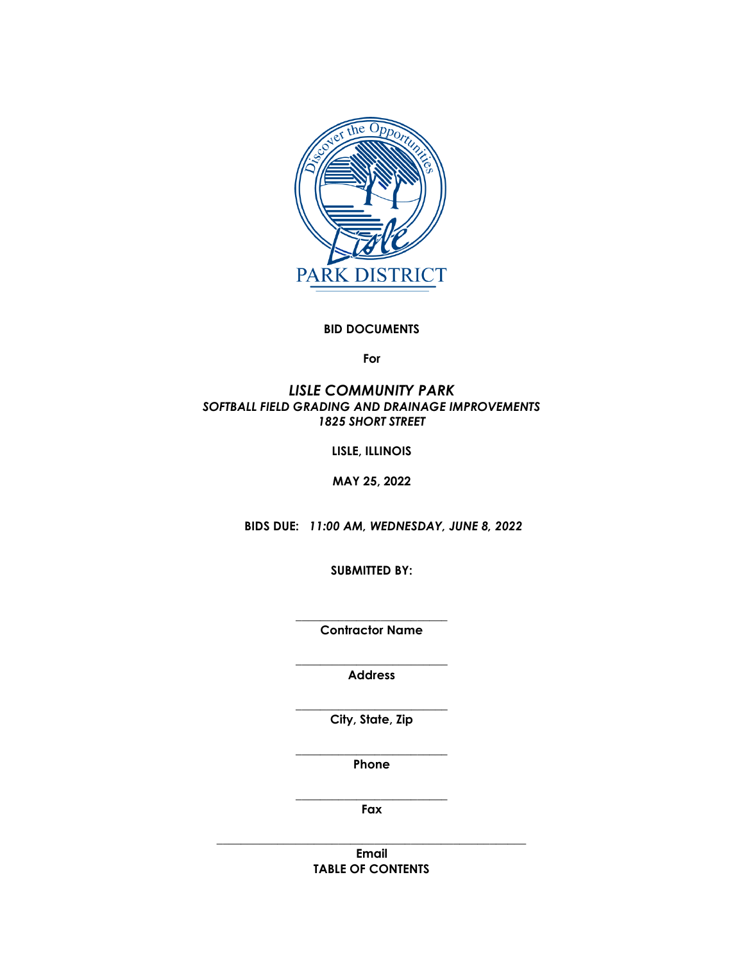

### **BID DOCUMENTS**

**For**

### *LISLE COMMUNITY PARK SOFTBALL FIELD GRADING AND DRAINAGE IMPROVEMENTS 1825 SHORT STREET*

**LISLE, ILLINOIS**

**MAY 25, 2022**

 **BIDS DUE:** *11:00 AM, WEDNESDAY, JUNE 8, 2022* 

**SUBMITTED BY:**

**\_\_\_\_\_\_\_\_\_\_\_\_\_\_\_\_\_\_\_\_\_\_\_\_\_ Contractor Name**

**\_\_\_\_\_\_\_\_\_\_\_\_\_\_\_\_\_\_\_\_\_\_\_\_\_ Address**

**\_\_\_\_\_\_\_\_\_\_\_\_\_\_\_\_\_\_\_\_\_\_\_\_\_ City, State, Zip**

**\_\_\_\_\_\_\_\_\_\_\_\_\_\_\_\_\_\_\_\_\_\_\_\_\_ Phone**

**\_\_\_\_\_\_\_\_\_\_\_\_\_\_\_\_\_\_\_\_\_\_\_\_\_ Fax**

**\_\_\_\_\_\_\_\_\_\_\_\_\_\_\_\_\_\_\_\_\_\_\_\_\_\_\_\_\_\_\_\_\_\_\_\_\_\_\_\_\_\_\_\_\_\_\_\_\_\_\_ Email TABLE OF CONTENTS**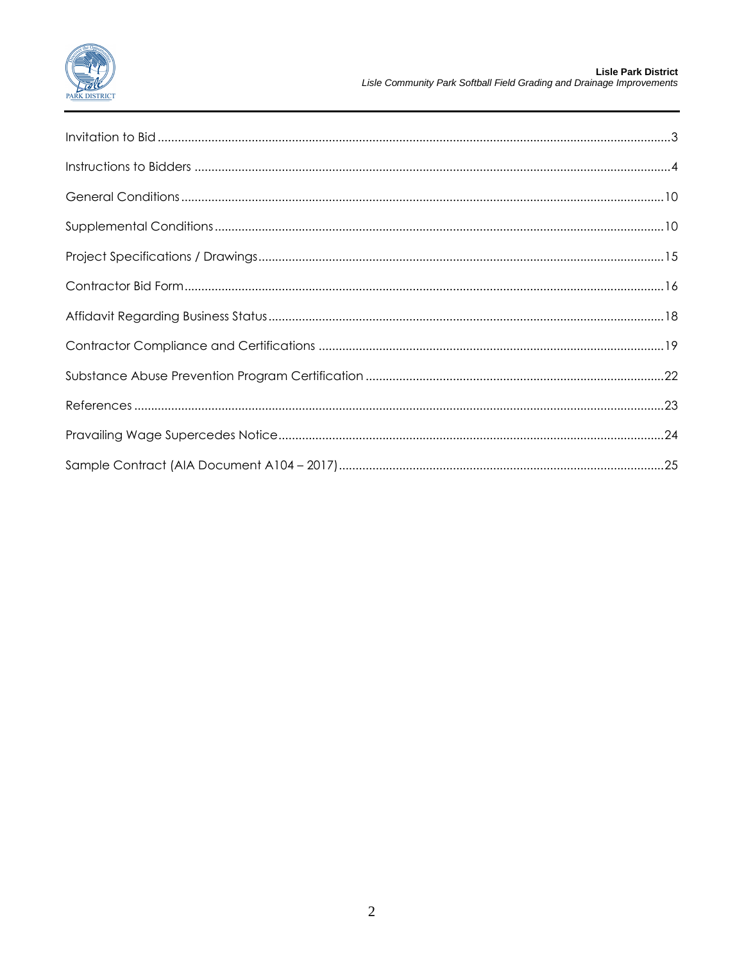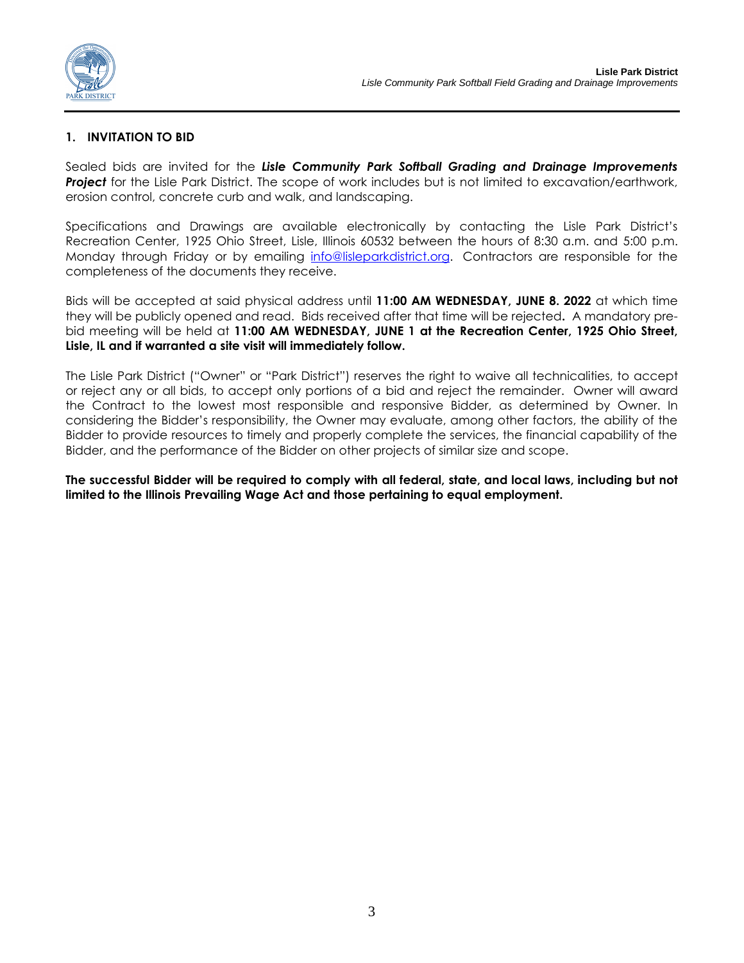

### **1. INVITATION TO BID**

Sealed bids are invited for the *Lisle Community Park Softball Grading and Drainage Improvements*  **Project** for the Lisle Park District. The scope of work includes but is not limited to excavation/earthwork, erosion control, concrete curb and walk, and landscaping.

Specifications and Drawings are available electronically by contacting the Lisle Park District's Recreation Center, 1925 Ohio Street, Lisle, Illinois 60532 between the hours of 8:30 a.m. and 5:00 p.m. Monday through Friday or by emailing [info@lisleparkdistrict.org.](mailto:info@lisleparkdistrict.org) Contractors are responsible for the completeness of the documents they receive.

Bids will be accepted at said physical address until **11:00 AM WEDNESDAY, JUNE 8. 2022** at which time they will be publicly opened and read. Bids received after that time will be rejected**.** A mandatory prebid meeting will be held at **11:00 AM WEDNESDAY, JUNE 1 at the Recreation Center, 1925 Ohio Street, Lisle, IL and if warranted a site visit will immediately follow.**

The Lisle Park District ("Owner" or "Park District") reserves the right to waive all technicalities, to accept or reject any or all bids, to accept only portions of a bid and reject the remainder. Owner will award the Contract to the lowest most responsible and responsive Bidder, as determined by Owner. In considering the Bidder's responsibility, the Owner may evaluate, among other factors, the ability of the Bidder to provide resources to timely and properly complete the services, the financial capability of the Bidder, and the performance of the Bidder on other projects of similar size and scope.

**The successful Bidder will be required to comply with all federal, state, and local laws, including but not limited to the Illinois Prevailing Wage Act and those pertaining to equal employment.**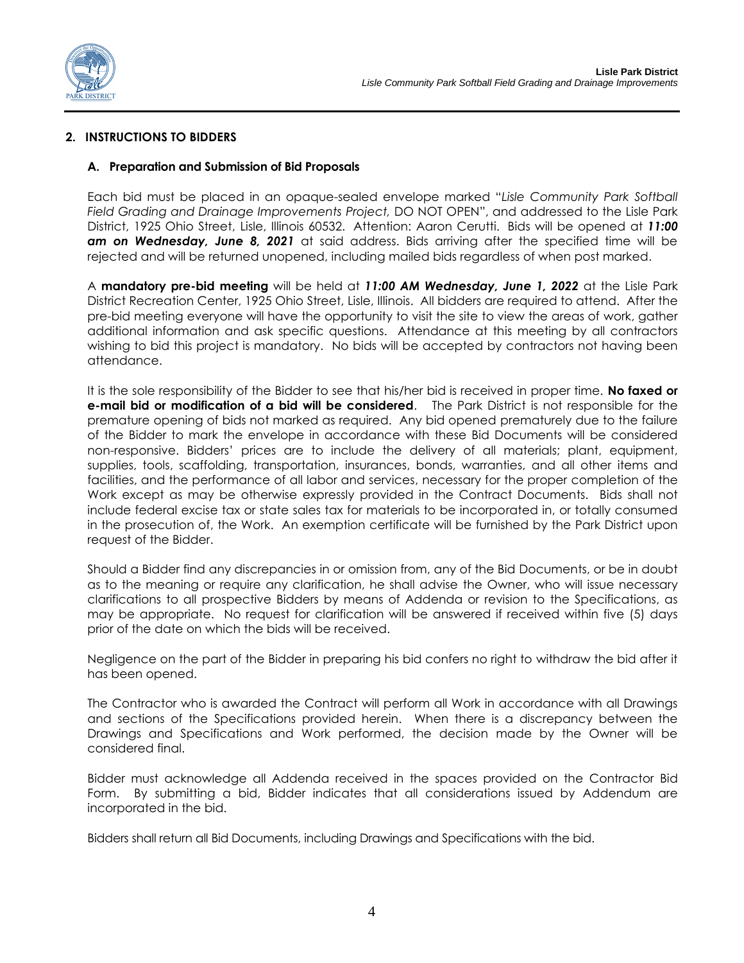

### **2. INSTRUCTIONS TO BIDDERS**

#### **A. Preparation and Submission of Bid Proposals**

Each bid must be placed in an opaque-sealed envelope marked "*Lisle Community Park Softball Field Grading and Drainage Improvements Project,* DO NOT OPEN", and addressed to the Lisle Park District, 1925 Ohio Street, Lisle, Illinois 60532. Attention: Aaron Cerutti. Bids will be opened at *11:00 am on Wednesday, June 8, 2021* at said address. Bids arriving after the specified time will be rejected and will be returned unopened, including mailed bids regardless of when post marked.

A **mandatory pre-bid meeting** will be held at *11:00 AM Wednesday, June 1, 2022* at the Lisle Park District Recreation Center, 1925 Ohio Street, Lisle, Illinois. All bidders are required to attend. After the pre-bid meeting everyone will have the opportunity to visit the site to view the areas of work, gather additional information and ask specific questions. Attendance at this meeting by all contractors wishing to bid this project is mandatory. No bids will be accepted by contractors not having been attendance.

It is the sole responsibility of the Bidder to see that his/her bid is received in proper time. **No faxed or e-mail bid or modification of a bid will be considered**. The Park District is not responsible for the premature opening of bids not marked as required. Any bid opened prematurely due to the failure of the Bidder to mark the envelope in accordance with these Bid Documents will be considered non-responsive. Bidders' prices are to include the delivery of all materials; plant, equipment, supplies, tools, scaffolding, transportation, insurances, bonds, warranties, and all other items and facilities, and the performance of all labor and services, necessary for the proper completion of the Work except as may be otherwise expressly provided in the Contract Documents. Bids shall not include federal excise tax or state sales tax for materials to be incorporated in, or totally consumed in the prosecution of, the Work. An exemption certificate will be furnished by the Park District upon request of the Bidder.

Should a Bidder find any discrepancies in or omission from, any of the Bid Documents, or be in doubt as to the meaning or require any clarification, he shall advise the Owner, who will issue necessary clarifications to all prospective Bidders by means of Addenda or revision to the Specifications, as may be appropriate. No request for clarification will be answered if received within five (5) days prior of the date on which the bids will be received.

Negligence on the part of the Bidder in preparing his bid confers no right to withdraw the bid after it has been opened.

The Contractor who is awarded the Contract will perform all Work in accordance with all Drawings and sections of the Specifications provided herein. When there is a discrepancy between the Drawings and Specifications and Work performed, the decision made by the Owner will be considered final.

Bidder must acknowledge all Addenda received in the spaces provided on the Contractor Bid Form. By submitting a bid, Bidder indicates that all considerations issued by Addendum are incorporated in the bid.

Bidders shall return all Bid Documents, including Drawings and Specifications with the bid.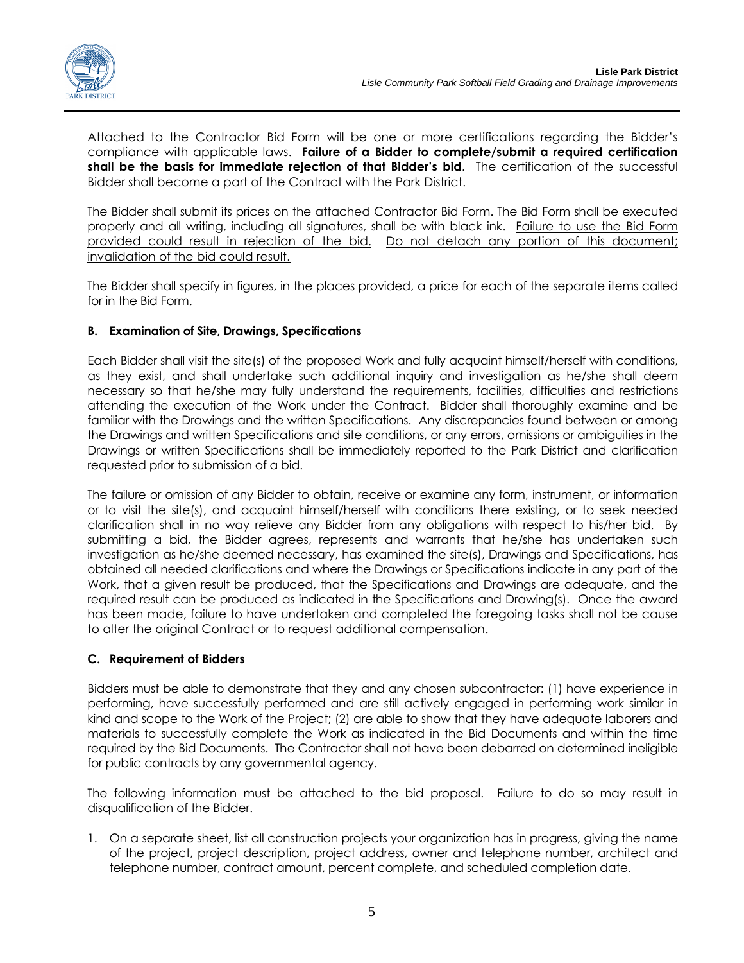

Attached to the Contractor Bid Form will be one or more certifications regarding the Bidder's compliance with applicable laws. **Failure of a Bidder to complete/submit a required certification shall be the basis for immediate rejection of that Bidder's bid**. The certification of the successful Bidder shall become a part of the Contract with the Park District.

The Bidder shall submit its prices on the attached Contractor Bid Form. The Bid Form shall be executed properly and all writing, including all signatures, shall be with black ink. Failure to use the Bid Form provided could result in rejection of the bid. Do not detach any portion of this document; invalidation of the bid could result.

The Bidder shall specify in figures, in the places provided, a price for each of the separate items called for in the Bid Form.

# **B. Examination of Site, Drawings, Specifications**

Each Bidder shall visit the site(s) of the proposed Work and fully acquaint himself/herself with conditions, as they exist, and shall undertake such additional inquiry and investigation as he/she shall deem necessary so that he/she may fully understand the requirements, facilities, difficulties and restrictions attending the execution of the Work under the Contract. Bidder shall thoroughly examine and be familiar with the Drawings and the written Specifications. Any discrepancies found between or among the Drawings and written Specifications and site conditions, or any errors, omissions or ambiguities in the Drawings or written Specifications shall be immediately reported to the Park District and clarification requested prior to submission of a bid.

The failure or omission of any Bidder to obtain, receive or examine any form, instrument, or information or to visit the site(s), and acquaint himself/herself with conditions there existing, or to seek needed clarification shall in no way relieve any Bidder from any obligations with respect to his/her bid. By submitting a bid, the Bidder agrees, represents and warrants that he/she has undertaken such investigation as he/she deemed necessary, has examined the site(s), Drawings and Specifications, has obtained all needed clarifications and where the Drawings or Specifications indicate in any part of the Work, that a given result be produced, that the Specifications and Drawings are adequate, and the required result can be produced as indicated in the Specifications and Drawing(s). Once the award has been made, failure to have undertaken and completed the foregoing tasks shall not be cause to alter the original Contract or to request additional compensation.

# **C. Requirement of Bidders**

Bidders must be able to demonstrate that they and any chosen subcontractor: (1) have experience in performing, have successfully performed and are still actively engaged in performing work similar in kind and scope to the Work of the Project; (2) are able to show that they have adequate laborers and materials to successfully complete the Work as indicated in the Bid Documents and within the time required by the Bid Documents. The Contractor shall not have been debarred on determined ineligible for public contracts by any governmental agency.

The following information must be attached to the bid proposal. Failure to do so may result in disqualification of the Bidder.

1. On a separate sheet, list all construction projects your organization has in progress, giving the name of the project, project description, project address, owner and telephone number, architect and telephone number, contract amount, percent complete, and scheduled completion date.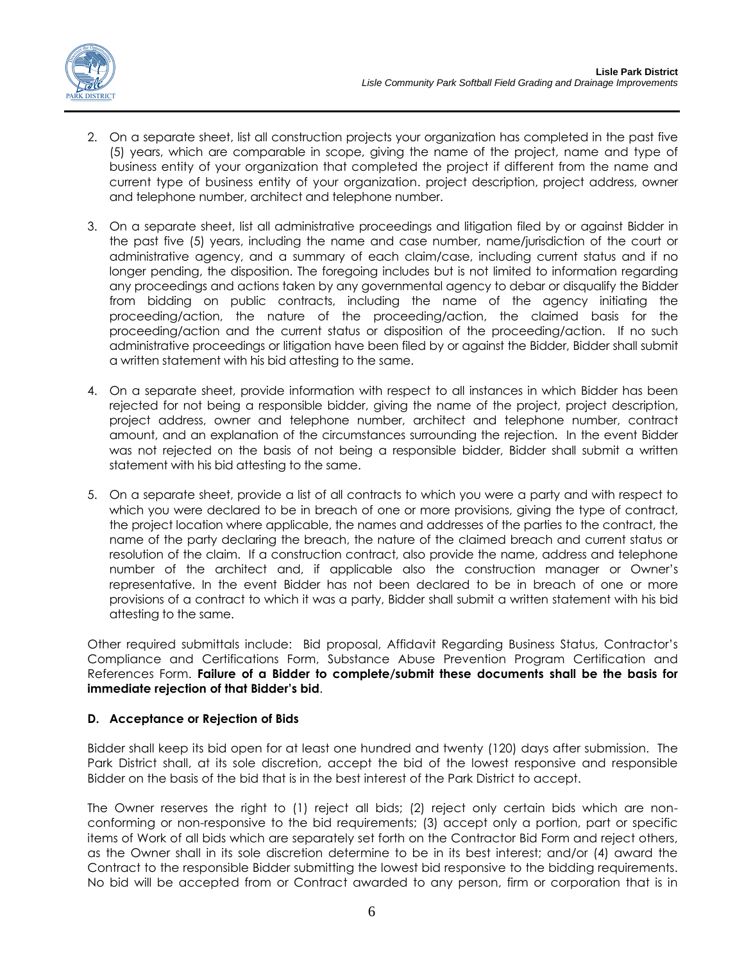

- 2. On a separate sheet, list all construction projects your organization has completed in the past five (5) years, which are comparable in scope, giving the name of the project, name and type of business entity of your organization that completed the project if different from the name and current type of business entity of your organization. project description, project address, owner and telephone number, architect and telephone number.
- 3. On a separate sheet, list all administrative proceedings and litigation filed by or against Bidder in the past five (5) years, including the name and case number, name/jurisdiction of the court or administrative agency, and a summary of each claim/case, including current status and if no longer pending, the disposition. The foregoing includes but is not limited to information regarding any proceedings and actions taken by any governmental agency to debar or disqualify the Bidder from bidding on public contracts, including the name of the agency initiating the proceeding/action, the nature of the proceeding/action, the claimed basis for the proceeding/action and the current status or disposition of the proceeding/action. If no such administrative proceedings or litigation have been filed by or against the Bidder, Bidder shall submit a written statement with his bid attesting to the same.
- 4. On a separate sheet, provide information with respect to all instances in which Bidder has been rejected for not being a responsible bidder, giving the name of the project, project description, project address, owner and telephone number, architect and telephone number, contract amount, and an explanation of the circumstances surrounding the rejection. In the event Bidder was not rejected on the basis of not being a responsible bidder, Bidder shall submit a written statement with his bid attesting to the same.
- 5. On a separate sheet, provide a list of all contracts to which you were a party and with respect to which you were declared to be in breach of one or more provisions, giving the type of contract, the project location where applicable, the names and addresses of the parties to the contract, the name of the party declaring the breach, the nature of the claimed breach and current status or resolution of the claim. If a construction contract, also provide the name, address and telephone number of the architect and, if applicable also the construction manager or Owner's representative. In the event Bidder has not been declared to be in breach of one or more provisions of a contract to which it was a party, Bidder shall submit a written statement with his bid attesting to the same.

Other required submittals include: Bid proposal, Affidavit Regarding Business Status, Contractor's Compliance and Certifications Form, Substance Abuse Prevention Program Certification and References Form. **Failure of a Bidder to complete/submit these documents shall be the basis for immediate rejection of that Bidder's bid**.

# **D. Acceptance or Rejection of Bids**

Bidder shall keep its bid open for at least one hundred and twenty (120) days after submission. The Park District shall, at its sole discretion, accept the bid of the lowest responsive and responsible Bidder on the basis of the bid that is in the best interest of the Park District to accept.

The Owner reserves the right to (1) reject all bids; (2) reject only certain bids which are nonconforming or non-responsive to the bid requirements; (3) accept only a portion, part or specific items of Work of all bids which are separately set forth on the Contractor Bid Form and reject others, as the Owner shall in its sole discretion determine to be in its best interest; and/or (4) award the Contract to the responsible Bidder submitting the lowest bid responsive to the bidding requirements. No bid will be accepted from or Contract awarded to any person, firm or corporation that is in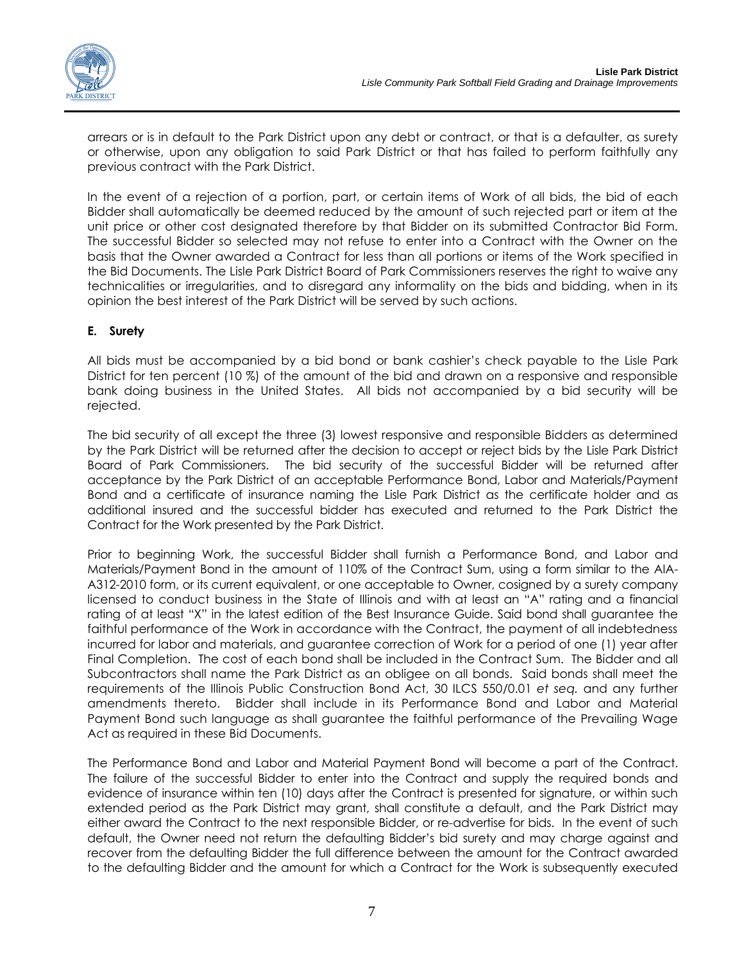

arrears or is in default to the Park District upon any debt or contract, or that is a defaulter, as surety or otherwise, upon any obligation to said Park District or that has failed to perform faithfully any previous contract with the Park District.

In the event of a rejection of a portion, part, or certain items of Work of all bids, the bid of each Bidder shall automatically be deemed reduced by the amount of such rejected part or item at the unit price or other cost designated therefore by that Bidder on its submitted Contractor Bid Form. The successful Bidder so selected may not refuse to enter into a Contract with the Owner on the basis that the Owner awarded a Contract for less than all portions or items of the Work specified in the Bid Documents. The Lisle Park District Board of Park Commissioners reserves the right to waive any technicalities or irregularities, and to disregard any informality on the bids and bidding, when in its opinion the best interest of the Park District will be served by such actions.

# **E. Surety**

All bids must be accompanied by a bid bond or bank cashier's check payable to the Lisle Park District for ten percent (10 %) of the amount of the bid and drawn on a responsive and responsible bank doing business in the United States. All bids not accompanied by a bid security will be rejected.

The bid security of all except the three (3) lowest responsive and responsible Bidders as determined by the Park District will be returned after the decision to accept or reject bids by the Lisle Park District Board of Park Commissioners. The bid security of the successful Bidder will be returned after acceptance by the Park District of an acceptable Performance Bond, Labor and Materials/Payment Bond and a certificate of insurance naming the Lisle Park District as the certificate holder and as additional insured and the successful bidder has executed and returned to the Park District the Contract for the Work presented by the Park District.

Prior to beginning Work, the successful Bidder shall furnish a Performance Bond, and Labor and Materials/Payment Bond in the amount of 110% of the Contract Sum, using a form similar to the AIA-A312-2010 form, or its current equivalent, or one acceptable to Owner, cosigned by a surety company licensed to conduct business in the State of Illinois and with at least an "A" rating and a financial rating of at least "X" in the latest edition of the Best Insurance Guide. Said bond shall guarantee the faithful performance of the Work in accordance with the Contract, the payment of all indebtedness incurred for labor and materials, and guarantee correction of Work for a period of one (1) year after Final Completion. The cost of each bond shall be included in the Contract Sum. The Bidder and all Subcontractors shall name the Park District as an obligee on all bonds. Said bonds shall meet the requirements of the Illinois Public Construction Bond Act, 30 ILCS 550/0.01 *et seq.* and any further amendments thereto. Bidder shall include in its Performance Bond and Labor and Material Payment Bond such language as shall guarantee the faithful performance of the Prevailing Wage Act as required in these Bid Documents.

The Performance Bond and Labor and Material Payment Bond will become a part of the Contract. The failure of the successful Bidder to enter into the Contract and supply the required bonds and evidence of insurance within ten (10) days after the Contract is presented for signature, or within such extended period as the Park District may grant, shall constitute a default, and the Park District may either award the Contract to the next responsible Bidder, or re-advertise for bids. In the event of such default, the Owner need not return the defaulting Bidder's bid surety and may charge against and recover from the defaulting Bidder the full difference between the amount for the Contract awarded to the defaulting Bidder and the amount for which a Contract for the Work is subsequently executed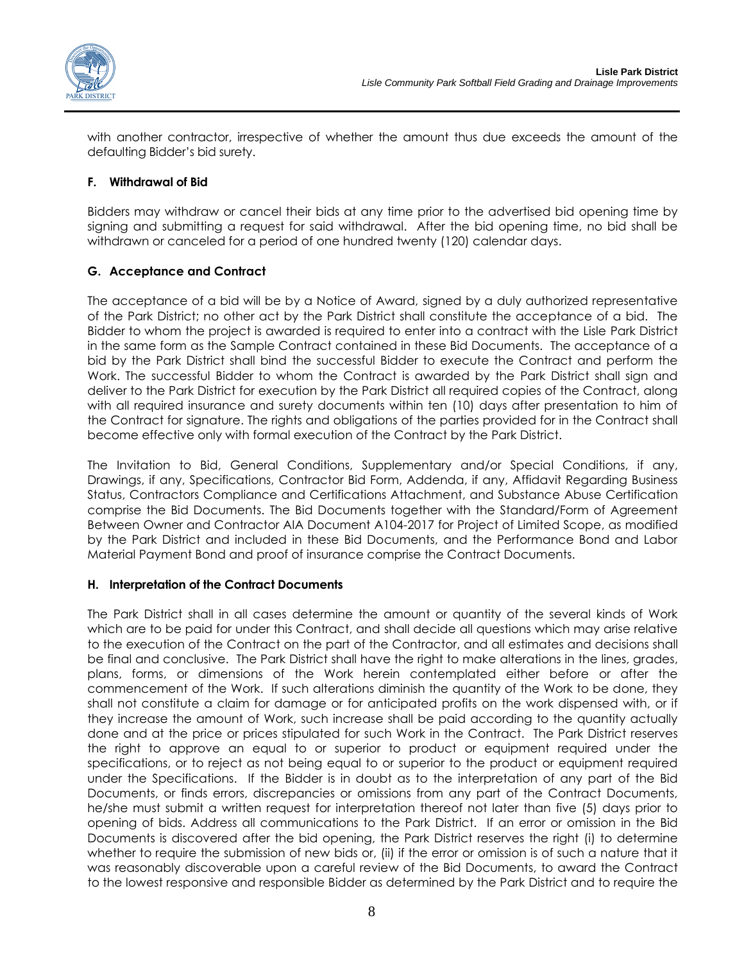

with another contractor, irrespective of whether the amount thus due exceeds the amount of the defaulting Bidder's bid surety.

### **F. Withdrawal of Bid**

Bidders may withdraw or cancel their bids at any time prior to the advertised bid opening time by signing and submitting a request for said withdrawal. After the bid opening time, no bid shall be withdrawn or canceled for a period of one hundred twenty (120) calendar days.

# **G. Acceptance and Contract**

The acceptance of a bid will be by a Notice of Award, signed by a duly authorized representative of the Park District; no other act by the Park District shall constitute the acceptance of a bid. The Bidder to whom the project is awarded is required to enter into a contract with the Lisle Park District in the same form as the Sample Contract contained in these Bid Documents. The acceptance of a bid by the Park District shall bind the successful Bidder to execute the Contract and perform the Work. The successful Bidder to whom the Contract is awarded by the Park District shall sign and deliver to the Park District for execution by the Park District all required copies of the Contract, along with all required insurance and surety documents within ten (10) days after presentation to him of the Contract for signature. The rights and obligations of the parties provided for in the Contract shall become effective only with formal execution of the Contract by the Park District.

The Invitation to Bid, General Conditions, Supplementary and/or Special Conditions, if any, Drawings, if any, Specifications, Contractor Bid Form, Addenda, if any, Affidavit Regarding Business Status, Contractors Compliance and Certifications Attachment, and Substance Abuse Certification comprise the Bid Documents. The Bid Documents together with the Standard/Form of Agreement Between Owner and Contractor AIA Document A104-2017 for Project of Limited Scope, as modified by the Park District and included in these Bid Documents, and the Performance Bond and Labor Material Payment Bond and proof of insurance comprise the Contract Documents.

### **H. Interpretation of the Contract Documents**

The Park District shall in all cases determine the amount or quantity of the several kinds of Work which are to be paid for under this Contract, and shall decide all questions which may arise relative to the execution of the Contract on the part of the Contractor, and all estimates and decisions shall be final and conclusive. The Park District shall have the right to make alterations in the lines, grades, plans, forms, or dimensions of the Work herein contemplated either before or after the commencement of the Work. If such alterations diminish the quantity of the Work to be done, they shall not constitute a claim for damage or for anticipated profits on the work dispensed with, or if they increase the amount of Work, such increase shall be paid according to the quantity actually done and at the price or prices stipulated for such Work in the Contract. The Park District reserves the right to approve an equal to or superior to product or equipment required under the specifications, or to reject as not being equal to or superior to the product or equipment required under the Specifications. If the Bidder is in doubt as to the interpretation of any part of the Bid Documents, or finds errors, discrepancies or omissions from any part of the Contract Documents, he/she must submit a written request for interpretation thereof not later than five (5) days prior to opening of bids. Address all communications to the Park District. If an error or omission in the Bid Documents is discovered after the bid opening, the Park District reserves the right (i) to determine whether to require the submission of new bids or, (ii) if the error or omission is of such a nature that it was reasonably discoverable upon a careful review of the Bid Documents, to award the Contract to the lowest responsive and responsible Bidder as determined by the Park District and to require the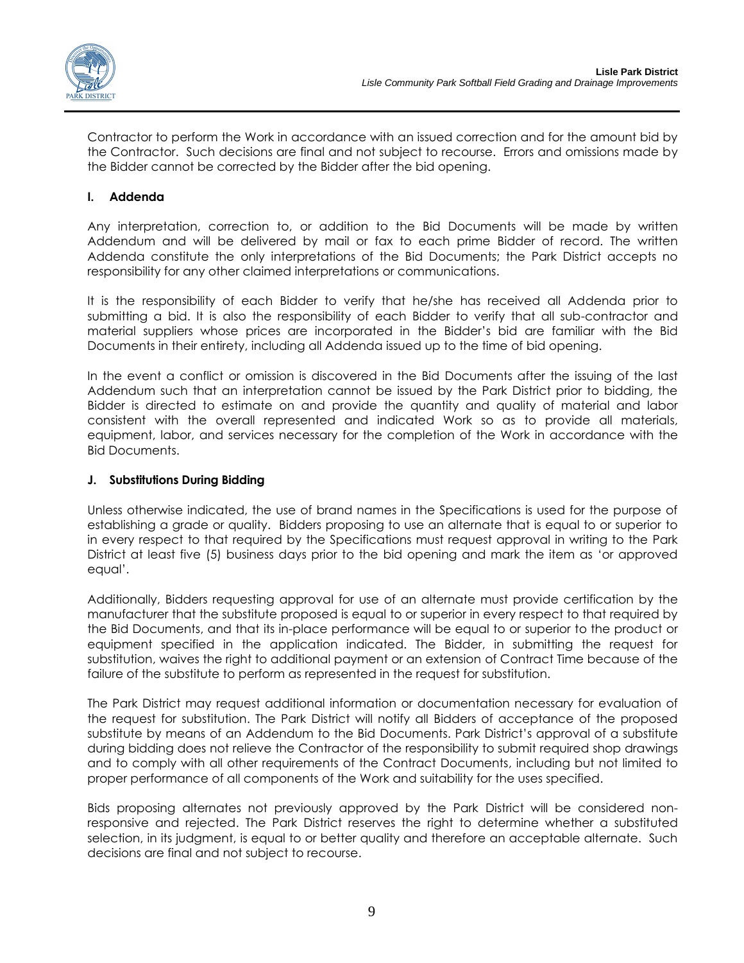

Contractor to perform the Work in accordance with an issued correction and for the amount bid by the Contractor. Such decisions are final and not subject to recourse. Errors and omissions made by the Bidder cannot be corrected by the Bidder after the bid opening.

### **I. Addenda**

Any interpretation, correction to, or addition to the Bid Documents will be made by written Addendum and will be delivered by mail or fax to each prime Bidder of record. The written Addenda constitute the only interpretations of the Bid Documents; the Park District accepts no responsibility for any other claimed interpretations or communications.

It is the responsibility of each Bidder to verify that he/she has received all Addenda prior to submitting a bid. It is also the responsibility of each Bidder to verify that all sub-contractor and material suppliers whose prices are incorporated in the Bidder's bid are familiar with the Bid Documents in their entirety, including all Addenda issued up to the time of bid opening.

In the event a conflict or omission is discovered in the Bid Documents after the issuing of the last Addendum such that an interpretation cannot be issued by the Park District prior to bidding, the Bidder is directed to estimate on and provide the quantity and quality of material and labor consistent with the overall represented and indicated Work so as to provide all materials, equipment, labor, and services necessary for the completion of the Work in accordance with the Bid Documents.

### **J. Substitutions During Bidding**

Unless otherwise indicated, the use of brand names in the Specifications is used for the purpose of establishing a grade or quality. Bidders proposing to use an alternate that is equal to or superior to in every respect to that required by the Specifications must request approval in writing to the Park District at least five (5) business days prior to the bid opening and mark the item as 'or approved equal'.

Additionally, Bidders requesting approval for use of an alternate must provide certification by the manufacturer that the substitute proposed is equal to or superior in every respect to that required by the Bid Documents, and that its in-place performance will be equal to or superior to the product or equipment specified in the application indicated. The Bidder, in submitting the request for substitution, waives the right to additional payment or an extension of Contract Time because of the failure of the substitute to perform as represented in the request for substitution.

The Park District may request additional information or documentation necessary for evaluation of the request for substitution. The Park District will notify all Bidders of acceptance of the proposed substitute by means of an Addendum to the Bid Documents. Park District's approval of a substitute during bidding does not relieve the Contractor of the responsibility to submit required shop drawings and to comply with all other requirements of the Contract Documents, including but not limited to proper performance of all components of the Work and suitability for the uses specified.

Bids proposing alternates not previously approved by the Park District will be considered nonresponsive and rejected. The Park District reserves the right to determine whether a substituted selection, in its judgment, is equal to or better quality and therefore an acceptable alternate. Such decisions are final and not subject to recourse.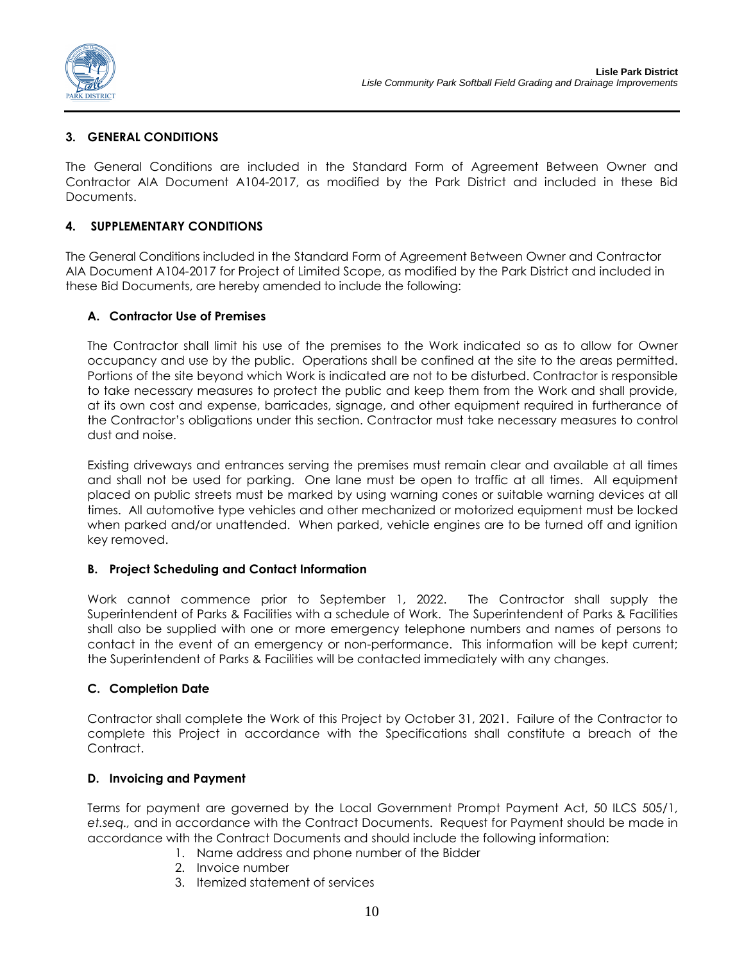

### **3. GENERAL CONDITIONS**

The General Conditions are included in the Standard Form of Agreement Between Owner and Contractor AIA Document A104-2017, as modified by the Park District and included in these Bid Documents.

### **4. SUPPLEMENTARY CONDITIONS**

The General Conditions included in the Standard Form of Agreement Between Owner and Contractor AIA Document A104-2017 for Project of Limited Scope, as modified by the Park District and included in these Bid Documents, are hereby amended to include the following:

### **A. Contractor Use of Premises**

The Contractor shall limit his use of the premises to the Work indicated so as to allow for Owner occupancy and use by the public. Operations shall be confined at the site to the areas permitted. Portions of the site beyond which Work is indicated are not to be disturbed. Contractor is responsible to take necessary measures to protect the public and keep them from the Work and shall provide, at its own cost and expense, barricades, signage, and other equipment required in furtherance of the Contractor's obligations under this section. Contractor must take necessary measures to control dust and noise.

Existing driveways and entrances serving the premises must remain clear and available at all times and shall not be used for parking. One lane must be open to traffic at all times. All equipment placed on public streets must be marked by using warning cones or suitable warning devices at all times. All automotive type vehicles and other mechanized or motorized equipment must be locked when parked and/or unattended. When parked, vehicle engines are to be turned off and ignition key removed.

### **B. Project Scheduling and Contact Information**

Work cannot commence prior to September 1, 2022. The Contractor shall supply the Superintendent of Parks & Facilities with a schedule of Work. The Superintendent of Parks & Facilities shall also be supplied with one or more emergency telephone numbers and names of persons to contact in the event of an emergency or non-performance. This information will be kept current; the Superintendent of Parks & Facilities will be contacted immediately with any changes.

### **C. Completion Date**

Contractor shall complete the Work of this Project by October 31, 2021. Failure of the Contractor to complete this Project in accordance with the Specifications shall constitute a breach of the Contract.

### **D. Invoicing and Payment**

Terms for payment are governed by the Local Government Prompt Payment Act, 50 ILCS 505/1, *et.seq.,* and in accordance with the Contract Documents. Request for Payment should be made in accordance with the Contract Documents and should include the following information:

- 1. Name address and phone number of the Bidder
- 2. Invoice number
- 3. Itemized statement of services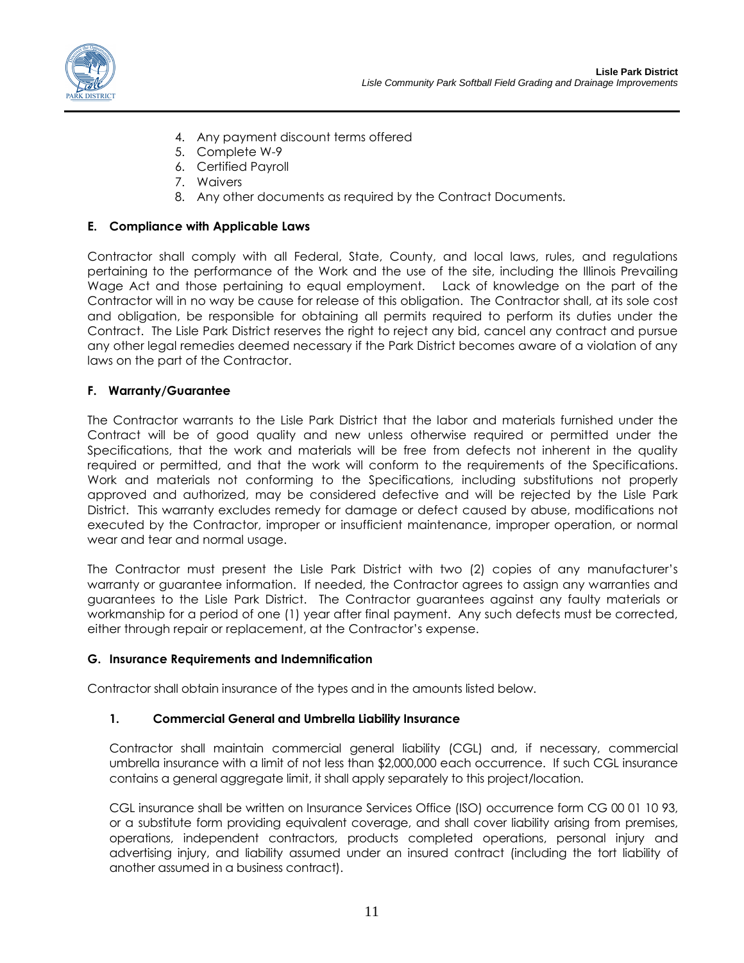

- 4. Any payment discount terms offered
- 5. Complete W-9
- 6. Certified Payroll
- 7. Waivers
- 8. Any other documents as required by the Contract Documents.

#### **E. Compliance with Applicable Laws**

Contractor shall comply with all Federal, State, County, and local laws, rules, and regulations pertaining to the performance of the Work and the use of the site, including the Illinois Prevailing Wage Act and those pertaining to equal employment. Lack of knowledge on the part of the Contractor will in no way be cause for release of this obligation. The Contractor shall, at its sole cost and obligation, be responsible for obtaining all permits required to perform its duties under the Contract. The Lisle Park District reserves the right to reject any bid, cancel any contract and pursue any other legal remedies deemed necessary if the Park District becomes aware of a violation of any laws on the part of the Contractor.

#### **F. Warranty/Guarantee**

The Contractor warrants to the Lisle Park District that the labor and materials furnished under the Contract will be of good quality and new unless otherwise required or permitted under the Specifications, that the work and materials will be free from defects not inherent in the quality required or permitted, and that the work will conform to the requirements of the Specifications. Work and materials not conforming to the Specifications, including substitutions not properly approved and authorized, may be considered defective and will be rejected by the Lisle Park District. This warranty excludes remedy for damage or defect caused by abuse, modifications not executed by the Contractor, improper or insufficient maintenance, improper operation, or normal wear and tear and normal usage.

The Contractor must present the Lisle Park District with two (2) copies of any manufacturer's warranty or guarantee information. If needed, the Contractor agrees to assign any warranties and guarantees to the Lisle Park District. The Contractor guarantees against any faulty materials or workmanship for a period of one (1) year after final payment. Any such defects must be corrected, either through repair or replacement, at the Contractor's expense.

### **G. Insurance Requirements and Indemnification**

Contractor shall obtain insurance of the types and in the amounts listed below.

### **1. Commercial General and Umbrella Liability Insurance**

Contractor shall maintain commercial general liability (CGL) and, if necessary, commercial umbrella insurance with a limit of not less than \$2,000,000 each occurrence. If such CGL insurance contains a general aggregate limit, it shall apply separately to this project/location.

CGL insurance shall be written on Insurance Services Office (ISO) occurrence form CG 00 01 10 93, or a substitute form providing equivalent coverage, and shall cover liability arising from premises, operations, independent contractors, products completed operations, personal injury and advertising injury, and liability assumed under an insured contract (including the tort liability of another assumed in a business contract).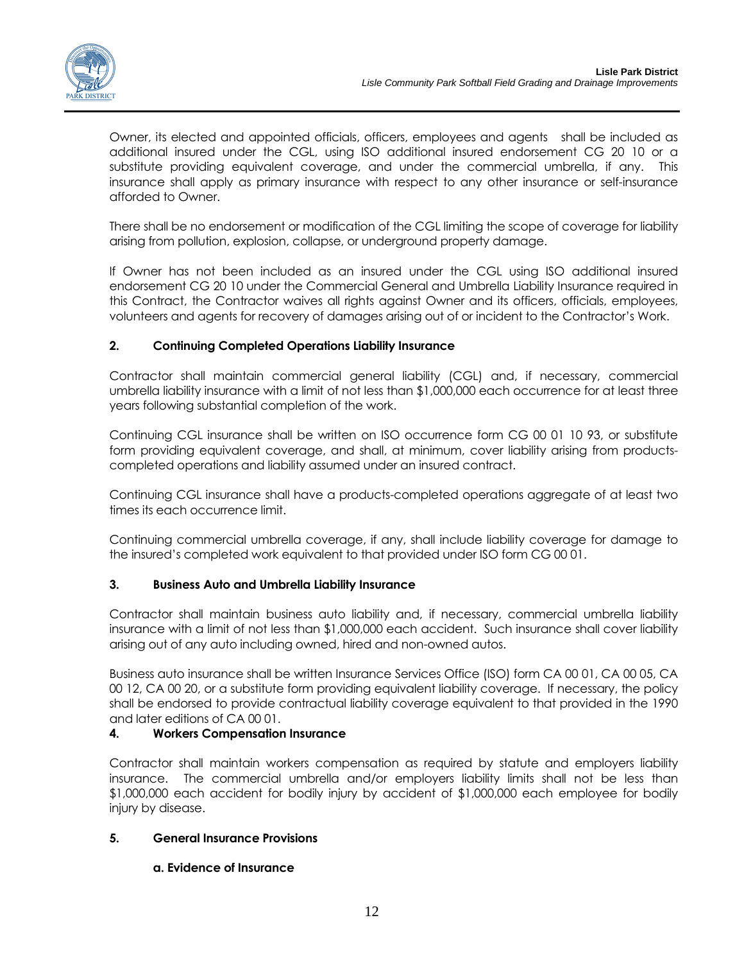

Owner, its elected and appointed officials, officers, employees and agents shall be included as additional insured under the CGL, using ISO additional insured endorsement CG 20 10 or a substitute providing equivalent coverage, and under the commercial umbrella, if any. This insurance shall apply as primary insurance with respect to any other insurance or self-insurance afforded to Owner.

There shall be no endorsement or modification of the CGL limiting the scope of coverage for liability arising from pollution, explosion, collapse, or underground property damage.

If Owner has not been included as an insured under the CGL using ISO additional insured endorsement CG 20 10 under the Commercial General and Umbrella Liability Insurance required in this Contract, the Contractor waives all rights against Owner and its officers, officials, employees, volunteers and agents for recovery of damages arising out of or incident to the Contractor's Work.

# **2. Continuing Completed Operations Liability Insurance**

Contractor shall maintain commercial general liability (CGL) and, if necessary, commercial umbrella liability insurance with a limit of not less than \$1,000,000 each occurrence for at least three years following substantial completion of the work.

Continuing CGL insurance shall be written on ISO occurrence form CG 00 01 10 93, or substitute form providing equivalent coverage, and shall, at minimum, cover liability arising from productscompleted operations and liability assumed under an insured contract.

Continuing CGL insurance shall have a products-completed operations aggregate of at least two times its each occurrence limit.

Continuing commercial umbrella coverage, if any, shall include liability coverage for damage to the insured's completed work equivalent to that provided under ISO form CG 00 01.

# **3. Business Auto and Umbrella Liability Insurance**

Contractor shall maintain business auto liability and, if necessary, commercial umbrella liability insurance with a limit of not less than \$1,000,000 each accident. Such insurance shall cover liability arising out of any auto including owned, hired and non-owned autos.

Business auto insurance shall be written Insurance Services Office (ISO) form CA 00 01, CA 00 05, CA 00 12, CA 00 20, or a substitute form providing equivalent liability coverage. If necessary, the policy shall be endorsed to provide contractual liability coverage equivalent to that provided in the 1990 and later editions of CA 00 01.

# **4. Workers Compensation Insurance**

Contractor shall maintain workers compensation as required by statute and employers liability insurance. The commercial umbrella and/or employers liability limits shall not be less than \$1,000,000 each accident for bodily injury by accident of \$1,000,000 each employee for bodily injury by disease.

### **5. General Insurance Provisions**

### **a. Evidence of Insurance**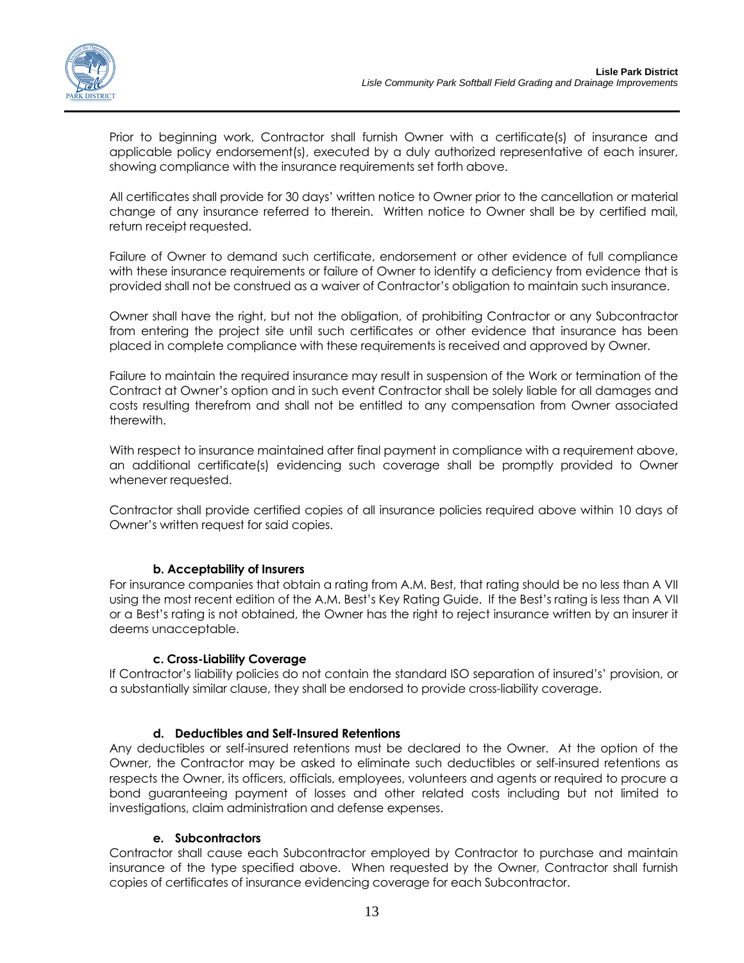Prior to beginning work, Contractor shall furnish Owner with a certificate(s) of insurance and applicable policy endorsement(s), executed by a duly authorized representative of each insurer, showing compliance with the insurance requirements set forth above.

All certificates shall provide for 30 days' written notice to Owner prior to the cancellation or material change of any insurance referred to therein. Written notice to Owner shall be by certified mail, return receipt requested.

Failure of Owner to demand such certificate, endorsement or other evidence of full compliance with these insurance requirements or failure of Owner to identify a deficiency from evidence that is provided shall not be construed as a waiver of Contractor's obligation to maintain such insurance.

Owner shall have the right, but not the obligation, of prohibiting Contractor or any Subcontractor from entering the project site until such certificates or other evidence that insurance has been placed in complete compliance with these requirements is received and approved by Owner.

Failure to maintain the required insurance may result in suspension of the Work or termination of the Contract at Owner's option and in such event Contractor shall be solely liable for all damages and costs resulting therefrom and shall not be entitled to any compensation from Owner associated therewith.

With respect to insurance maintained after final payment in compliance with a requirement above, an additional certificate(s) evidencing such coverage shall be promptly provided to Owner whenever requested.

Contractor shall provide certified copies of all insurance policies required above within 10 days of Owner's written request for said copies.

# **b. Acceptability of Insurers**

For insurance companies that obtain a rating from A.M. Best, that rating should be no less than A VII using the most recent edition of the A.M. Best's Key Rating Guide. If the Best's rating is less than A VII or a Best's rating is not obtained, the Owner has the right to reject insurance written by an insurer it deems unacceptable.

### **c. Cross-Liability Coverage**

If Contractor's liability policies do not contain the standard ISO separation of insured's' provision, or a substantially similar clause, they shall be endorsed to provide cross-liability coverage.

### **d. Deductibles and Self-Insured Retentions**

Any deductibles or self-insured retentions must be declared to the Owner. At the option of the Owner, the Contractor may be asked to eliminate such deductibles or self-insured retentions as respects the Owner, its officers, officials, employees, volunteers and agents or required to procure a bond guaranteeing payment of losses and other related costs including but not limited to investigations, claim administration and defense expenses.

### **e. Subcontractors**

Contractor shall cause each Subcontractor employed by Contractor to purchase and maintain insurance of the type specified above. When requested by the Owner, Contractor shall furnish copies of certificates of insurance evidencing coverage for each Subcontractor.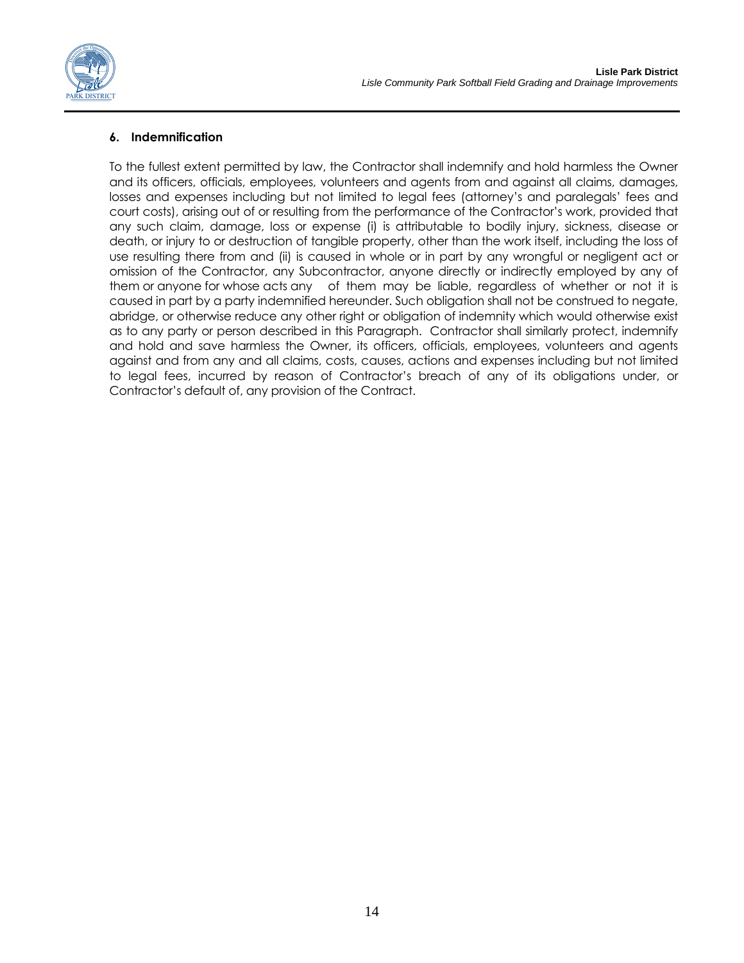

# **6. Indemnification**

To the fullest extent permitted by law, the Contractor shall indemnify and hold harmless the Owner and its officers, officials, employees, volunteers and agents from and against all claims, damages, losses and expenses including but not limited to legal fees (attorney's and paralegals' fees and court costs), arising out of or resulting from the performance of the Contractor's work, provided that any such claim, damage, loss or expense (i) is attributable to bodily injury, sickness, disease or death, or injury to or destruction of tangible property, other than the work itself, including the loss of use resulting there from and (ii) is caused in whole or in part by any wrongful or negligent act or omission of the Contractor, any Subcontractor, anyone directly or indirectly employed by any of them or anyone for whose acts any of them may be liable, regardless of whether or not it is caused in part by a party indemnified hereunder. Such obligation shall not be construed to negate, abridge, or otherwise reduce any other right or obligation of indemnity which would otherwise exist as to any party or person described in this Paragraph. Contractor shall similarly protect, indemnify and hold and save harmless the Owner, its officers, officials, employees, volunteers and agents against and from any and all claims, costs, causes, actions and expenses including but not limited to legal fees, incurred by reason of Contractor's breach of any of its obligations under, or Contractor's default of, any provision of the Contract.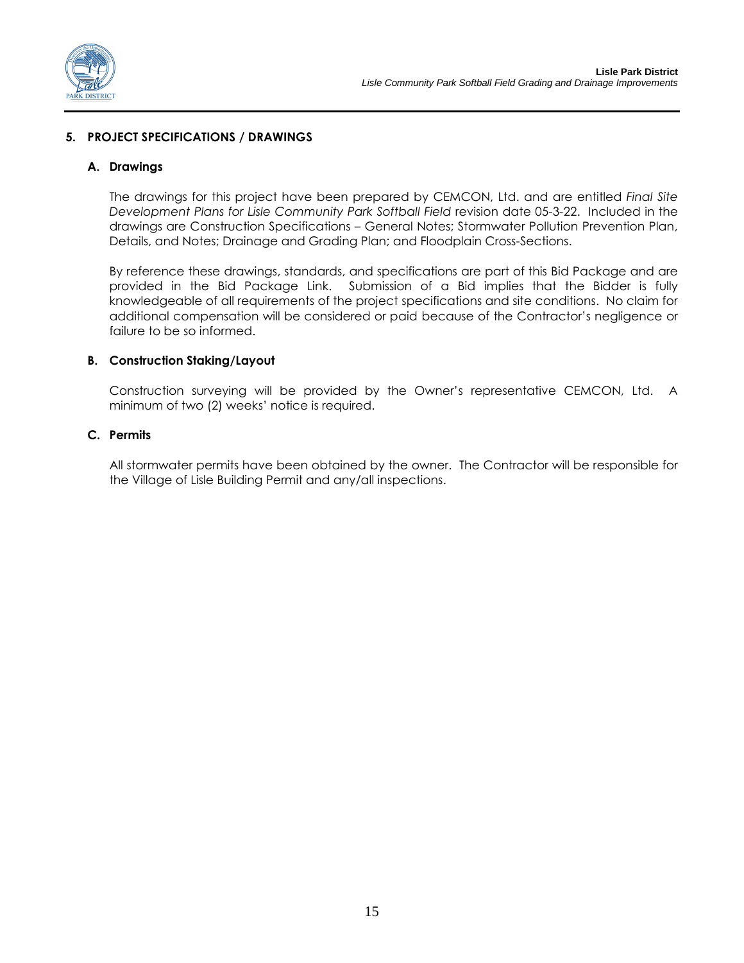

### **5. PROJECT SPECIFICATIONS / DRAWINGS**

#### **A. Drawings**

The drawings for this project have been prepared by CEMCON, Ltd. and are entitled *Final Site Development Plans for Lisle Community Park Softball Field* revision date 05-3-22. Included in the drawings are Construction Specifications – General Notes; Stormwater Pollution Prevention Plan, Details, and Notes; Drainage and Grading Plan; and Floodplain Cross-Sections.

By reference these drawings, standards, and specifications are part of this Bid Package and are provided in the Bid Package Link. Submission of a Bid implies that the Bidder is fully knowledgeable of all requirements of the project specifications and site conditions. No claim for additional compensation will be considered or paid because of the Contractor's negligence or failure to be so informed.

#### **B. Construction Staking/Layout**

Construction surveying will be provided by the Owner's representative CEMCON, Ltd. A minimum of two (2) weeks' notice is required.

### **C. Permits**

All stormwater permits have been obtained by the owner. The Contractor will be responsible for the Village of Lisle Building Permit and any/all inspections.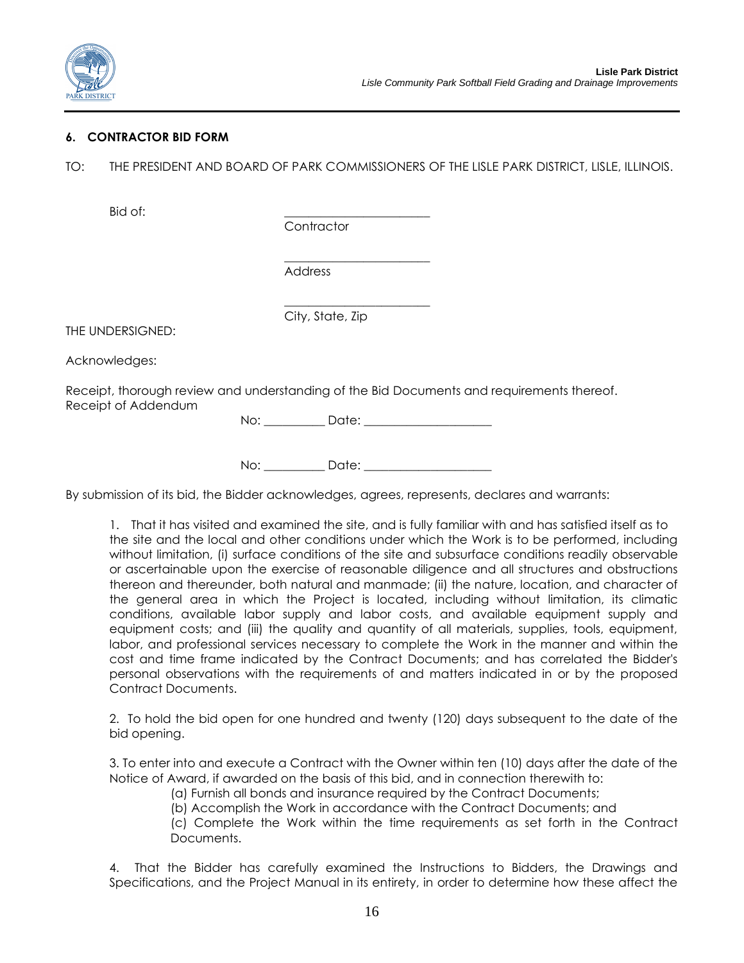

### **6. CONTRACTOR BID FORM**

TO: THE PRESIDENT AND BOARD OF PARK COMMISSIONERS OF THE LISLE PARK DISTRICT, LISLE, ILLINOIS.

Bid of:

**Contractor** 

City, State, Zip

\_\_\_\_\_\_\_\_\_\_\_\_\_\_\_\_\_\_\_\_\_\_\_\_ Address

THE UNDERSIGNED:

Acknowledges:

Receipt, thorough review and understanding of the Bid Documents and requirements thereof. Receipt of Addendum

No: \_\_\_\_\_\_\_\_\_\_ Date: \_\_\_\_\_\_\_\_\_\_\_\_\_\_\_\_\_\_\_\_\_

 $\frac{1}{2}$  ,  $\frac{1}{2}$  ,  $\frac{1}{2}$  ,  $\frac{1}{2}$  ,  $\frac{1}{2}$  ,  $\frac{1}{2}$  ,  $\frac{1}{2}$  ,  $\frac{1}{2}$  ,  $\frac{1}{2}$  ,  $\frac{1}{2}$  ,  $\frac{1}{2}$  ,  $\frac{1}{2}$  ,  $\frac{1}{2}$  ,  $\frac{1}{2}$  ,  $\frac{1}{2}$  ,  $\frac{1}{2}$  ,  $\frac{1}{2}$  ,  $\frac{1}{2}$  ,  $\frac{1$ 

No: \_\_\_\_\_\_\_\_\_\_ Date: \_\_\_\_\_\_\_\_\_\_\_\_\_\_\_\_\_\_\_\_\_

By submission of its bid, the Bidder acknowledges, agrees, represents, declares and warrants:

1. That it has visited and examined the site, and is fully familiar with and has satisfied itself as to the site and the local and other conditions under which the Work is to be performed, including without limitation, (i) surface conditions of the site and subsurface conditions readily observable or ascertainable upon the exercise of reasonable diligence and all structures and obstructions thereon and thereunder, both natural and manmade; (ii) the nature, location, and character of the general area in which the Project is located, including without limitation, its climatic conditions, available labor supply and labor costs, and available equipment supply and equipment costs; and (iii) the quality and quantity of all materials, supplies, tools, equipment, labor, and professional services necessary to complete the Work in the manner and within the cost and time frame indicated by the Contract Documents; and has correlated the Bidder's personal observations with the requirements of and matters indicated in or by the proposed Contract Documents.

2. To hold the bid open for one hundred and twenty (120) days subsequent to the date of the bid opening.

3. To enter into and execute a Contract with the Owner within ten (10) days after the date of the Notice of Award, if awarded on the basis of this bid, and in connection therewith to:

(a) Furnish all bonds and insurance required by the Contract Documents;

(b) Accomplish the Work in accordance with the Contract Documents; and

(c) Complete the Work within the time requirements as set forth in the Contract Documents.

4. That the Bidder has carefully examined the Instructions to Bidders, the Drawings and Specifications, and the Project Manual in its entirety, in order to determine how these affect the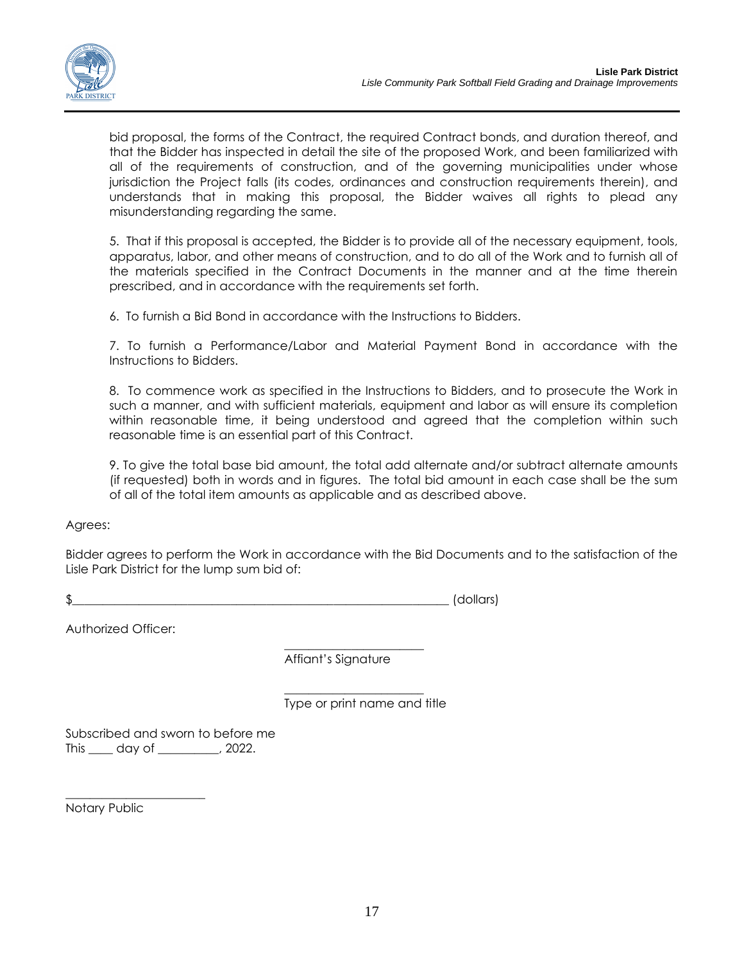bid proposal, the forms of the Contract, the required Contract bonds, and duration thereof, and that the Bidder has inspected in detail the site of the proposed Work, and been familiarized with all of the requirements of construction, and of the governing municipalities under whose jurisdiction the Project falls (its codes, ordinances and construction requirements therein), and understands that in making this proposal, the Bidder waives all rights to plead any misunderstanding regarding the same.

5. That if this proposal is accepted, the Bidder is to provide all of the necessary equipment, tools, apparatus, labor, and other means of construction, and to do all of the Work and to furnish all of the materials specified in the Contract Documents in the manner and at the time therein prescribed, and in accordance with the requirements set forth.

6. To furnish a Bid Bond in accordance with the Instructions to Bidders.

7. To furnish a Performance/Labor and Material Payment Bond in accordance with the Instructions to Bidders.

8. To commence work as specified in the Instructions to Bidders, and to prosecute the Work in such a manner, and with sufficient materials, equipment and labor as will ensure its completion within reasonable time, it being understood and agreed that the completion within such reasonable time is an essential part of this Contract.

9. To give the total base bid amount, the total add alternate and/or subtract alternate amounts (if requested) both in words and in figures. The total bid amount in each case shall be the sum of all of the total item amounts as applicable and as described above.

Agrees:

Bidder agrees to perform the Work in accordance with the Bid Documents and to the satisfaction of the Lisle Park District for the lump sum bid of:

 $\clubsuit$  (dollars)

Authorized Officer:

\_\_\_\_\_\_\_\_\_\_\_\_\_\_\_\_\_\_\_\_\_\_\_ Affiant's Signature

 $\frac{1}{2}$  ,  $\frac{1}{2}$  ,  $\frac{1}{2}$  ,  $\frac{1}{2}$  ,  $\frac{1}{2}$  ,  $\frac{1}{2}$  ,  $\frac{1}{2}$  ,  $\frac{1}{2}$  ,  $\frac{1}{2}$  ,  $\frac{1}{2}$  ,  $\frac{1}{2}$  ,  $\frac{1}{2}$  ,  $\frac{1}{2}$  ,  $\frac{1}{2}$  ,  $\frac{1}{2}$  ,  $\frac{1}{2}$  ,  $\frac{1}{2}$  ,  $\frac{1}{2}$  ,  $\frac{1$ Type or print name and title

Subscribed and sworn to before me This \_\_\_\_ day of \_\_\_\_\_\_\_\_\_\_, 2022.

Notary Public

\_\_\_\_\_\_\_\_\_\_\_\_\_\_\_\_\_\_\_\_\_\_\_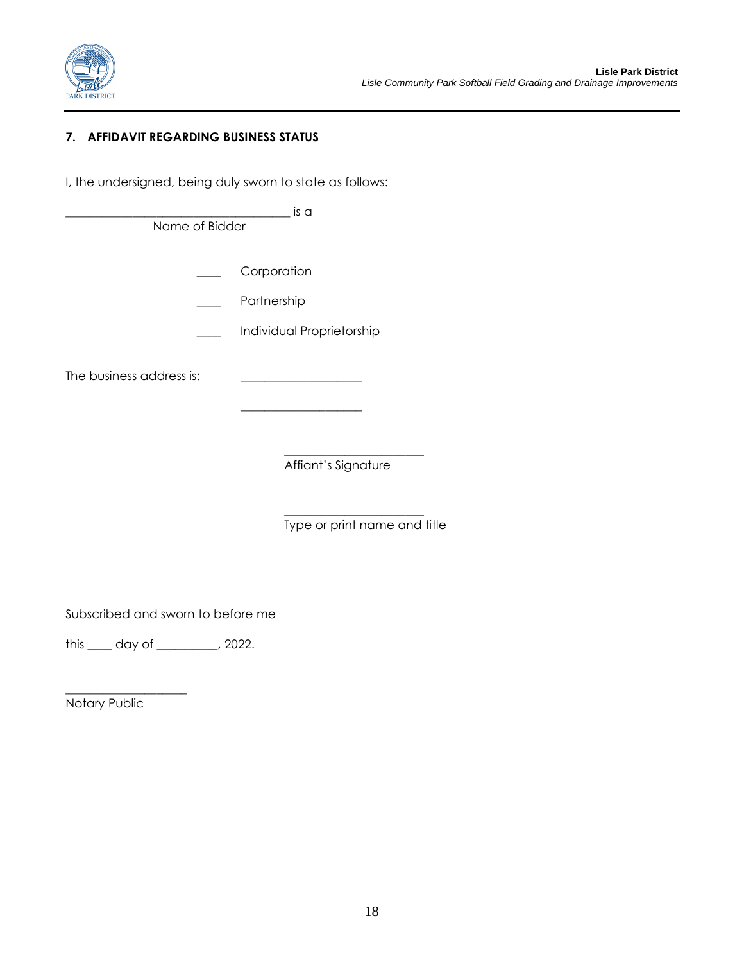

# **7. AFFIDAVIT REGARDING BUSINESS STATUS**

I, the undersigned, being duly sworn to state as follows:

\_\_\_\_\_\_\_\_\_\_\_\_\_\_\_\_\_\_\_\_\_\_\_\_\_\_\_\_\_\_\_\_\_\_\_\_\_ is a

Name of Bidder

**Corporation** 

Partnership

\_\_\_\_ Individual Proprietorship

\_\_\_\_\_\_\_\_\_\_\_\_\_\_\_\_\_\_\_\_

The business address is: \_\_\_\_\_\_\_\_\_\_\_\_\_\_\_\_\_\_\_\_

 $\frac{1}{2}$  ,  $\frac{1}{2}$  ,  $\frac{1}{2}$  ,  $\frac{1}{2}$  ,  $\frac{1}{2}$  ,  $\frac{1}{2}$  ,  $\frac{1}{2}$  ,  $\frac{1}{2}$  ,  $\frac{1}{2}$  ,  $\frac{1}{2}$  ,  $\frac{1}{2}$  ,  $\frac{1}{2}$  ,  $\frac{1}{2}$  ,  $\frac{1}{2}$  ,  $\frac{1}{2}$  ,  $\frac{1}{2}$  ,  $\frac{1}{2}$  ,  $\frac{1}{2}$  ,  $\frac{1$ Affiant's Signature

 $\frac{1}{2}$  ,  $\frac{1}{2}$  ,  $\frac{1}{2}$  ,  $\frac{1}{2}$  ,  $\frac{1}{2}$  ,  $\frac{1}{2}$  ,  $\frac{1}{2}$  ,  $\frac{1}{2}$  ,  $\frac{1}{2}$  ,  $\frac{1}{2}$  ,  $\frac{1}{2}$  ,  $\frac{1}{2}$  ,  $\frac{1}{2}$  ,  $\frac{1}{2}$  ,  $\frac{1}{2}$  ,  $\frac{1}{2}$  ,  $\frac{1}{2}$  ,  $\frac{1}{2}$  ,  $\frac{1$ Type or print name and title

Subscribed and sworn to before me

this \_\_\_\_ day of \_\_\_\_\_\_\_\_\_\_, 2022.

Notary Public

\_\_\_\_\_\_\_\_\_\_\_\_\_\_\_\_\_\_\_\_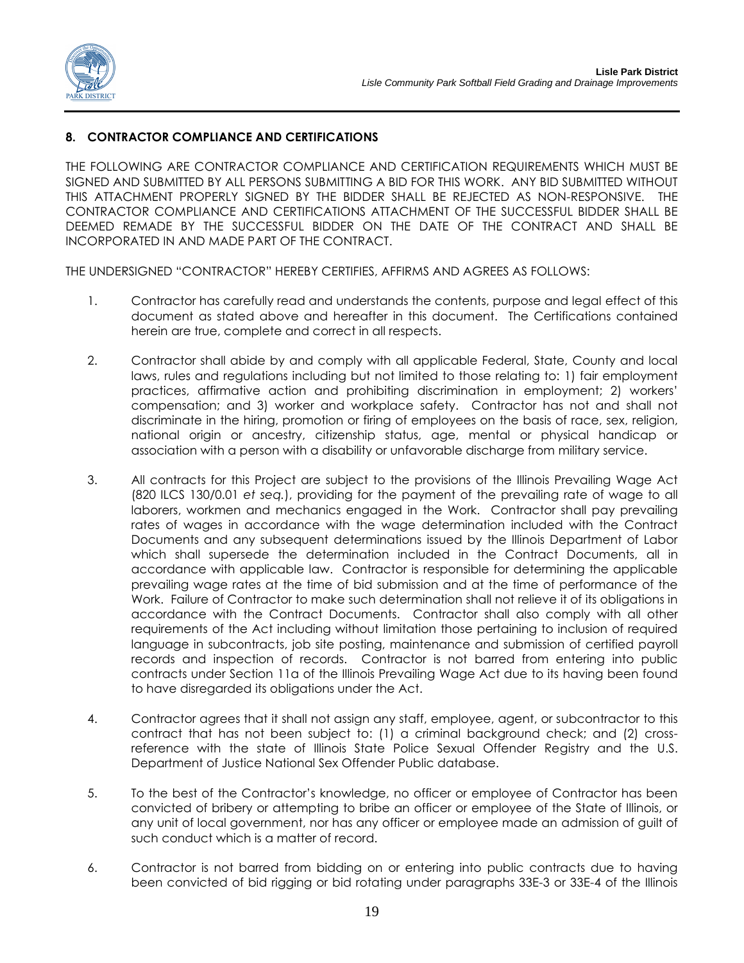

### **8. CONTRACTOR COMPLIANCE AND CERTIFICATIONS**

THE FOLLOWING ARE CONTRACTOR COMPLIANCE AND CERTIFICATION REQUIREMENTS WHICH MUST BE SIGNED AND SUBMITTED BY ALL PERSONS SUBMITTING A BID FOR THIS WORK. ANY BID SUBMITTED WITHOUT THIS ATTACHMENT PROPERLY SIGNED BY THE BIDDER SHALL BE REJECTED AS NON-RESPONSIVE. THE CONTRACTOR COMPLIANCE AND CERTIFICATIONS ATTACHMENT OF THE SUCCESSFUL BIDDER SHALL BE DEEMED REMADE BY THE SUCCESSFUL BIDDER ON THE DATE OF THE CONTRACT AND SHALL BE INCORPORATED IN AND MADE PART OF THE CONTRACT.

THE UNDERSIGNED "CONTRACTOR" HEREBY CERTIFIES, AFFIRMS AND AGREES AS FOLLOWS:

- 1. Contractor has carefully read and understands the contents, purpose and legal effect of this document as stated above and hereafter in this document. The Certifications contained herein are true, complete and correct in all respects.
- 2. Contractor shall abide by and comply with all applicable Federal, State, County and local laws, rules and regulations including but not limited to those relating to: 1) fair employment practices, affirmative action and prohibiting discrimination in employment; 2) workers' compensation; and 3) worker and workplace safety. Contractor has not and shall not discriminate in the hiring, promotion or firing of employees on the basis of race, sex, religion, national origin or ancestry, citizenship status, age, mental or physical handicap or association with a person with a disability or unfavorable discharge from military service.
- 3. All contracts for this Project are subject to the provisions of the Illinois Prevailing Wage Act (820 ILCS 130/0.01 *et seq.*), providing for the payment of the prevailing rate of wage to all laborers, workmen and mechanics engaged in the Work. Contractor shall pay prevailing rates of wages in accordance with the wage determination included with the Contract Documents and any subsequent determinations issued by the Illinois Department of Labor which shall supersede the determination included in the Contract Documents, all in accordance with applicable law. Contractor is responsible for determining the applicable prevailing wage rates at the time of bid submission and at the time of performance of the Work. Failure of Contractor to make such determination shall not relieve it of its obligations in accordance with the Contract Documents. Contractor shall also comply with all other requirements of the Act including without limitation those pertaining to inclusion of required language in subcontracts, job site posting, maintenance and submission of certified payroll records and inspection of records. Contractor is not barred from entering into public contracts under Section 11a of the Illinois Prevailing Wage Act due to its having been found to have disregarded its obligations under the Act.
- 4. Contractor agrees that it shall not assign any staff, employee, agent, or subcontractor to this contract that has not been subject to: (1) a criminal background check; and (2) crossreference with the state of Illinois State Police Sexual Offender Registry and the U.S. Department of Justice National Sex Offender Public database.
- 5. To the best of the Contractor's knowledge, no officer or employee of Contractor has been convicted of bribery or attempting to bribe an officer or employee of the State of Illinois, or any unit of local government, nor has any officer or employee made an admission of guilt of such conduct which is a matter of record.
- 6. Contractor is not barred from bidding on or entering into public contracts due to having been convicted of bid rigging or bid rotating under paragraphs 33E-3 or 33E-4 of the Illinois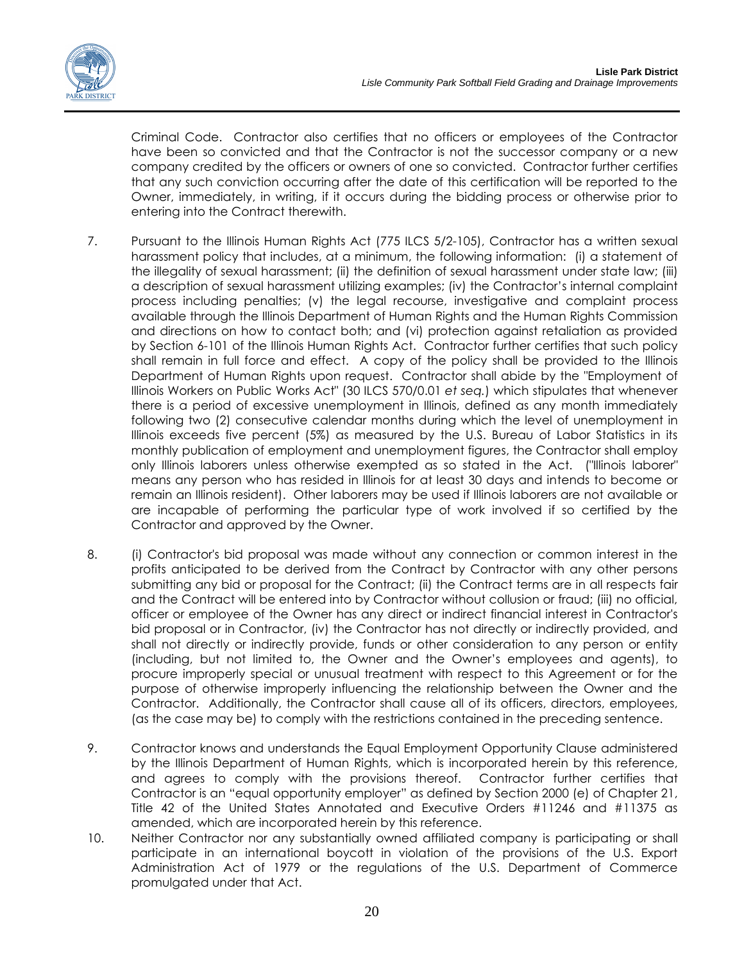

Criminal Code. Contractor also certifies that no officers or employees of the Contractor have been so convicted and that the Contractor is not the successor company or a new company credited by the officers or owners of one so convicted. Contractor further certifies that any such conviction occurring after the date of this certification will be reported to the Owner, immediately, in writing, if it occurs during the bidding process or otherwise prior to entering into the Contract therewith.

- 7. Pursuant to the Illinois Human Rights Act (775 ILCS 5/2-105), Contractor has a written sexual harassment policy that includes, at a minimum, the following information: (i) a statement of the illegality of sexual harassment; (ii) the definition of sexual harassment under state law; (iii) a description of sexual harassment utilizing examples; (iv) the Contractor's internal complaint process including penalties; (v) the legal recourse, investigative and complaint process available through the Illinois Department of Human Rights and the Human Rights Commission and directions on how to contact both; and (vi) protection against retaliation as provided by Section 6-101 of the Illinois Human Rights Act. Contractor further certifies that such policy shall remain in full force and effect. A copy of the policy shall be provided to the Illinois Department of Human Rights upon request. Contractor shall abide by the "Employment of Illinois Workers on Public Works Act" (30 ILCS 570/0.01 *et seq.*) which stipulates that whenever there is a period of excessive unemployment in Illinois, defined as any month immediately following two (2) consecutive calendar months during which the level of unemployment in Illinois exceeds five percent (5%) as measured by the U.S. Bureau of Labor Statistics in its monthly publication of employment and unemployment figures, the Contractor shall employ only Illinois laborers unless otherwise exempted as so stated in the Act. ("Illinois laborer" means any person who has resided in Illinois for at least 30 days and intends to become or remain an Illinois resident). Other laborers may be used if Illinois laborers are not available or are incapable of performing the particular type of work involved if so certified by the Contractor and approved by the Owner.
- 8. (i) Contractor's bid proposal was made without any connection or common interest in the profits anticipated to be derived from the Contract by Contractor with any other persons submitting any bid or proposal for the Contract; (ii) the Contract terms are in all respects fair and the Contract will be entered into by Contractor without collusion or fraud; (iii) no official, officer or employee of the Owner has any direct or indirect financial interest in Contractor's bid proposal or in Contractor, (iv) the Contractor has not directly or indirectly provided, and shall not directly or indirectly provide, funds or other consideration to any person or entity (including, but not limited to, the Owner and the Owner's employees and agents), to procure improperly special or unusual treatment with respect to this Agreement or for the purpose of otherwise improperly influencing the relationship between the Owner and the Contractor. Additionally, the Contractor shall cause all of its officers, directors, employees, (as the case may be) to comply with the restrictions contained in the preceding sentence.
- 9. Contractor knows and understands the Equal Employment Opportunity Clause administered by the Illinois Department of Human Rights, which is incorporated herein by this reference, and agrees to comply with the provisions thereof. Contractor further certifies that Contractor is an "equal opportunity employer" as defined by Section 2000 (e) of Chapter 21, Title 42 of the United States Annotated and Executive Orders #11246 and #11375 as amended, which are incorporated herein by this reference.
- 10. Neither Contractor nor any substantially owned affiliated company is participating or shall participate in an international boycott in violation of the provisions of the U.S. Export Administration Act of 1979 or the regulations of the U.S. Department of Commerce promulgated under that Act.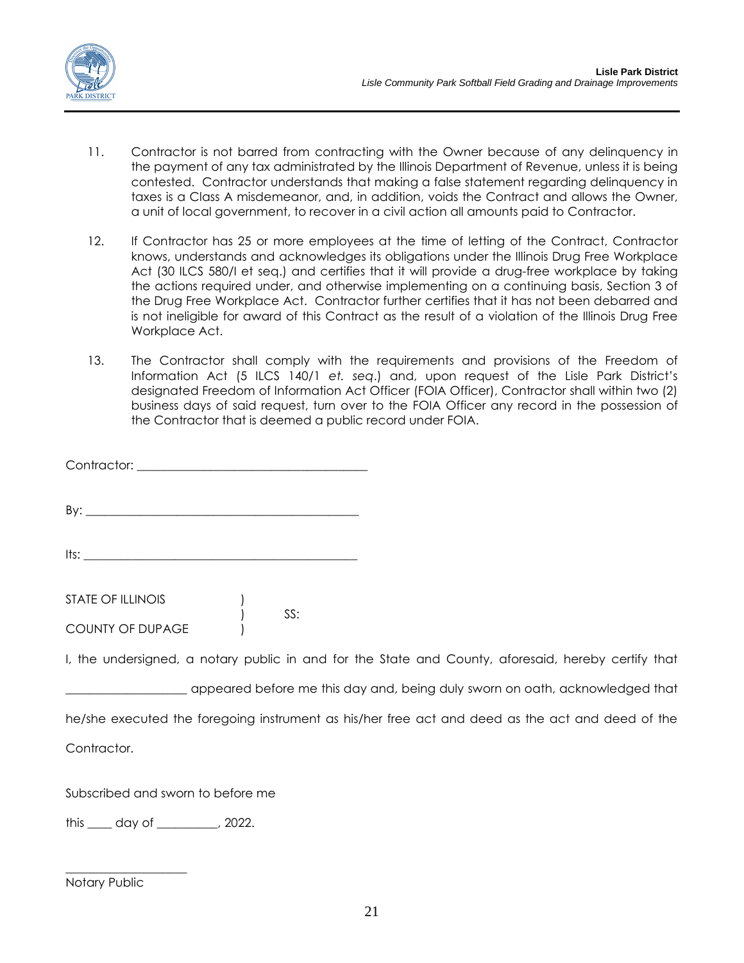

- 11. Contractor is not barred from contracting with the Owner because of any delinquency in the payment of any tax administrated by the Illinois Department of Revenue, unless it is being contested. Contractor understands that making a false statement regarding delinquency in taxes is a Class A misdemeanor, and, in addition, voids the Contract and allows the Owner, a unit of local government, to recover in a civil action all amounts paid to Contractor.
- 12. If Contractor has 25 or more employees at the time of letting of the Contract, Contractor knows, understands and acknowledges its obligations under the Illinois Drug Free Workplace Act (30 ILCS 580/I et seq.) and certifies that it will provide a drug-free workplace by taking the actions required under, and otherwise implementing on a continuing basis, Section 3 of the Drug Free Workplace Act. Contractor further certifies that it has not been debarred and is not ineligible for award of this Contract as the result of a violation of the Illinois Drug Free Workplace Act.
- 13. The Contractor shall comply with the requirements and provisions of the Freedom of Information Act (5 ILCS 140/1 *et. seq*.) and, upon request of the Lisle Park District's designated Freedom of Information Act Officer (FOIA Officer), Contractor shall within two (2) business days of said request, turn over to the FOIA Officer any record in the possession of the Contractor that is deemed a public record under FOIA.

| I, the undersigned, a notary public in and for the State and County, aforesaid, hereby certify that |  |  |  |  |
|-----------------------------------------------------------------------------------------------------|--|--|--|--|

appeared before me this day and, being duly sworn on oath, acknowledged that he/she executed the foregoing instrument as his/her free act and deed as the act and deed of the Contractor.

Subscribed and sworn to before me

this \_\_\_\_ day of \_\_\_\_\_\_\_\_\_\_, 2022.

### Notary Public

\_\_\_\_\_\_\_\_\_\_\_\_\_\_\_\_\_\_\_\_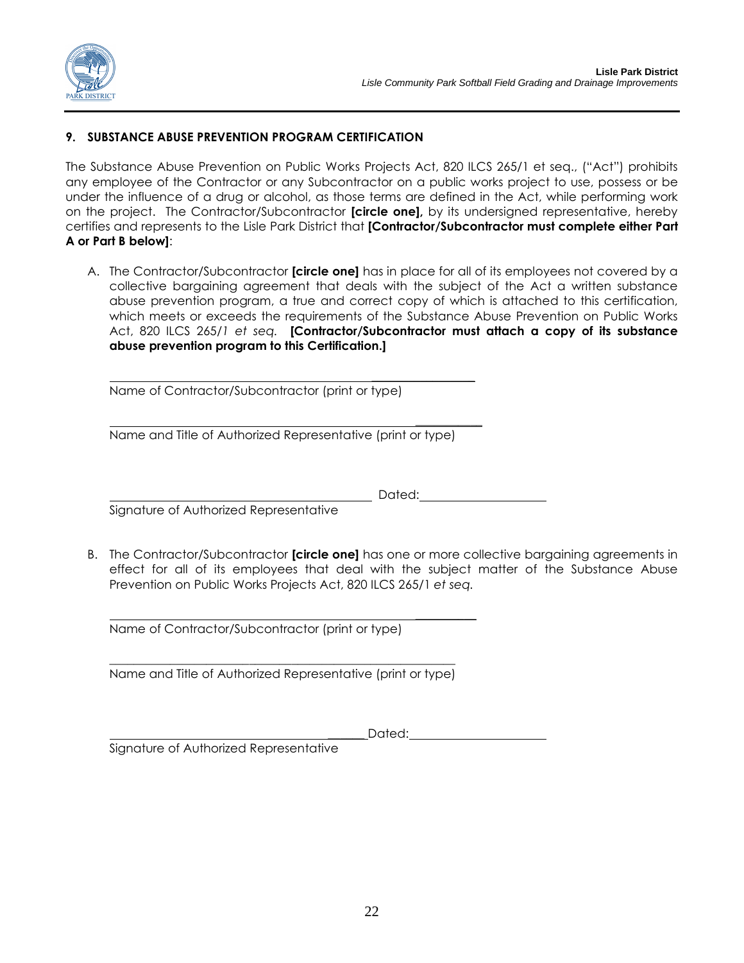

### **9. SUBSTANCE ABUSE PREVENTION PROGRAM CERTIFICATION**

The Substance Abuse Prevention on Public Works Projects Act, 820 ILCS 265/1 et seq., ("Act") prohibits any employee of the Contractor or any Subcontractor on a public works project to use, possess or be under the influence of a drug or alcohol, as those terms are defined in the Act, while performing work on the project. The Contractor/Subcontractor **[circle one],** by its undersigned representative, hereby certifies and represents to the Lisle Park District that **[Contractor/Subcontractor must complete either Part A or Part B below]**:

A. The Contractor/Subcontractor **[circle one]** has in place for all of its employees not covered by a collective bargaining agreement that deals with the subject of the Act a written substance abuse prevention program, a true and correct copy of which is attached to this certification, which meets or exceeds the requirements of the Substance Abuse Prevention on Public Works Act, 820 ILCS 265/*1 et seq.* **[Contractor/Subcontractor must attach a copy of its substance abuse prevention program to this Certification.]**

Name of Contractor/Subcontractor (print or type)

 $\frac{1}{2}$ Name and Title of Authorized Representative (print or type)

Dated:

 $\overline{\phantom{a}}$ 

 $\frac{1}{2}$ 

Signature of Authorized Representative

B. The Contractor/Subcontractor **[circle one]** has one or more collective bargaining agreements in effect for all of its employees that deal with the subject matter of the Substance Abuse Prevention on Public Works Projects Act, 820 ILCS 265/1 *et seq.*

Name of Contractor/Subcontractor (print or type)

\_\_\_\_\_\_\_\_\_\_\_\_\_\_\_\_\_\_\_\_\_\_\_\_\_\_\_\_\_\_\_\_\_\_\_\_\_\_\_\_\_\_\_\_\_\_\_\_\_\_\_\_\_\_\_\_\_ Name and Title of Authorized Representative (print or type)

Dated:

Signature of Authorized Representative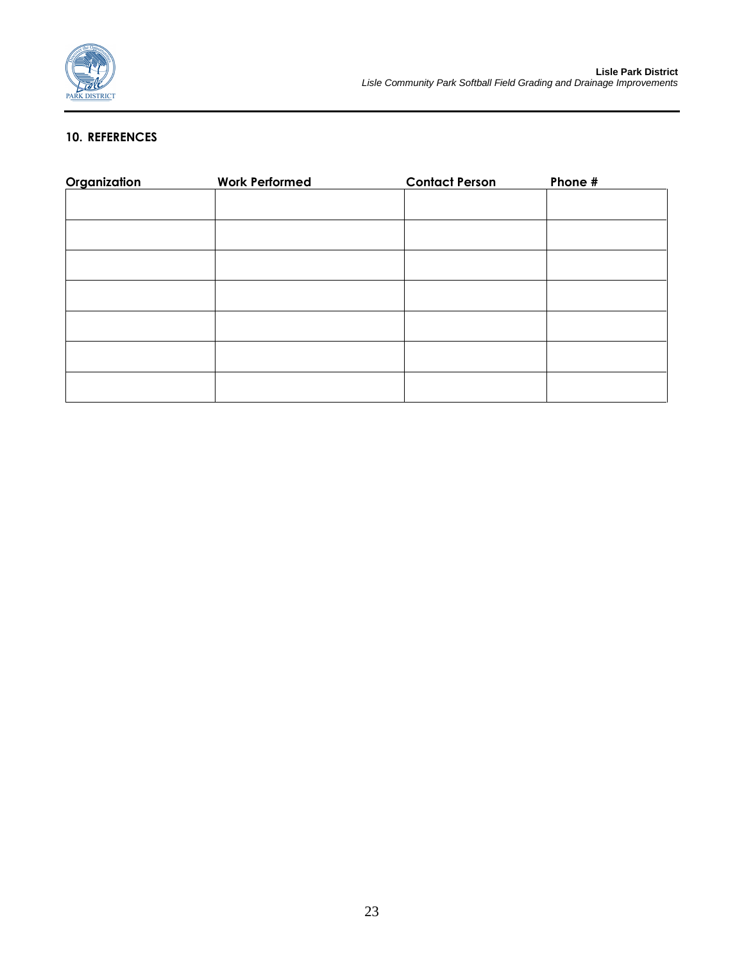

### **10. REFERENCES**

| Organization | <b>Work Performed</b> | <b>Contact Person</b> | Phone # |
|--------------|-----------------------|-----------------------|---------|
|              |                       |                       |         |
|              |                       |                       |         |
|              |                       |                       |         |
|              |                       |                       |         |
|              |                       |                       |         |
|              |                       |                       |         |
|              |                       |                       |         |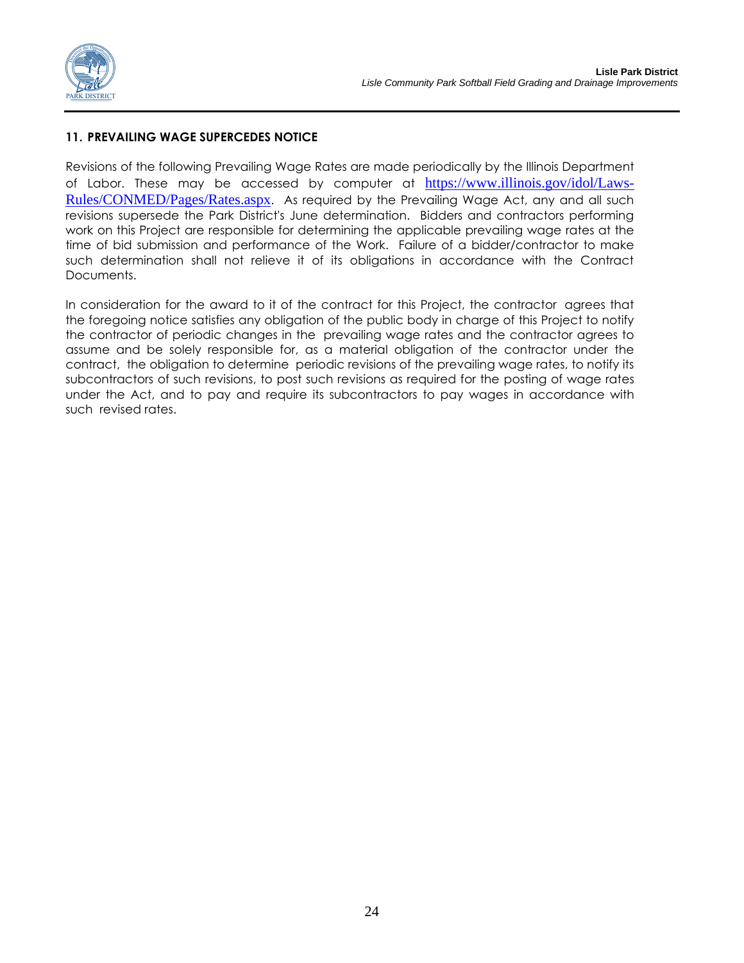

### **11. PREVAILING WAGE SUPERCEDES NOTICE**

Revisions of the following Prevailing Wage Rates are made periodically by the Illinois Department of Labor. These may be accessed by computer at https://www.illinois.gov/idol/Laws-Rules/CONMED/Pages/Rates.aspx. As required by the Prevailing Wage Act, any and all such revisions supersede the Park District's June determination. Bidders and contractors performing work on this Project are responsible for determining the applicable prevailing wage rates at the time of bid submission and performance of the Work. Failure of a bidder/contractor to make such determination shall not relieve it of its obligations in accordance with the Contract Documents.

In consideration for the award to it of the contract for this Project, the contractor agrees that the foregoing notice satisfies any obligation of the public body in charge of this Project to notify the contractor of periodic changes in the prevailing wage rates and the contractor agrees to assume and be solely responsible for, as a material obligation of the contractor under the contract, the obligation to determine periodic revisions of the prevailing wage rates, to notify its subcontractors of such revisions, to post such revisions as required for the posting of wage rates under the Act, and to pay and require its subcontractors to pay wages in accordance with such revised rates.